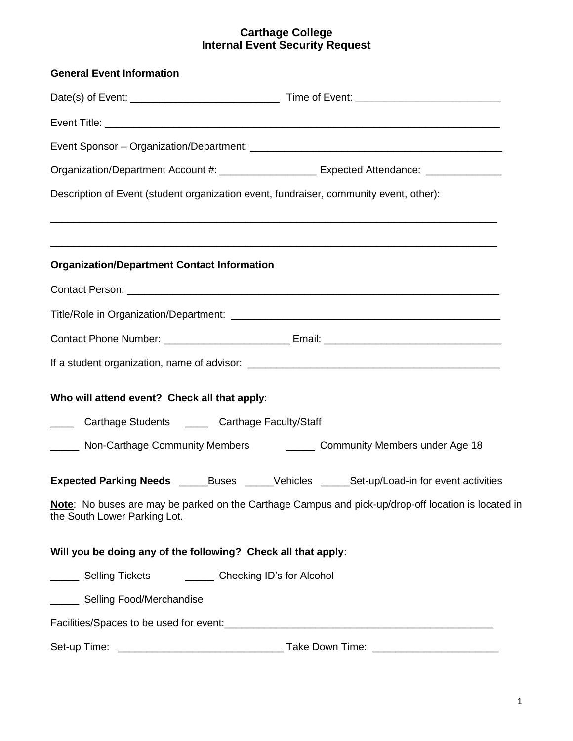## **Carthage College Internal Event Security Request**

| <b>General Event Information</b>                                                                                      |                                                                                                     |  |  |  |  |
|-----------------------------------------------------------------------------------------------------------------------|-----------------------------------------------------------------------------------------------------|--|--|--|--|
|                                                                                                                       |                                                                                                     |  |  |  |  |
|                                                                                                                       |                                                                                                     |  |  |  |  |
|                                                                                                                       |                                                                                                     |  |  |  |  |
| Organization/Department Account #: ______________________ Expected Attendance: ______________                         |                                                                                                     |  |  |  |  |
| Description of Event (student organization event, fundraiser, community event, other):                                |                                                                                                     |  |  |  |  |
| <u> 1989 - Johann Stoff, deutscher Stoff, der Stoff, der Stoff, der Stoff, der Stoff, der Stoff, der Stoff, der S</u> |                                                                                                     |  |  |  |  |
| <b>Organization/Department Contact Information</b>                                                                    |                                                                                                     |  |  |  |  |
|                                                                                                                       |                                                                                                     |  |  |  |  |
|                                                                                                                       |                                                                                                     |  |  |  |  |
|                                                                                                                       |                                                                                                     |  |  |  |  |
|                                                                                                                       |                                                                                                     |  |  |  |  |
| Who will attend event? Check all that apply:                                                                          |                                                                                                     |  |  |  |  |
| Carthage Students _______ Carthage Faculty/Staff<br>$\frac{1}{2}$                                                     |                                                                                                     |  |  |  |  |
|                                                                                                                       |                                                                                                     |  |  |  |  |
| Expected Parking Needs ______Buses _____Vehicles _____Set-up/Load-in for event activities                             |                                                                                                     |  |  |  |  |
| the South Lower Parking Lot.                                                                                          | Note: No buses are may be parked on the Carthage Campus and pick-up/drop-off location is located in |  |  |  |  |
| Will you be doing any of the following? Check all that apply:                                                         |                                                                                                     |  |  |  |  |
| _______ Selling Tickets ___________ Checking ID's for Alcohol                                                         |                                                                                                     |  |  |  |  |
| ______ Selling Food/Merchandise                                                                                       |                                                                                                     |  |  |  |  |
|                                                                                                                       |                                                                                                     |  |  |  |  |
|                                                                                                                       |                                                                                                     |  |  |  |  |